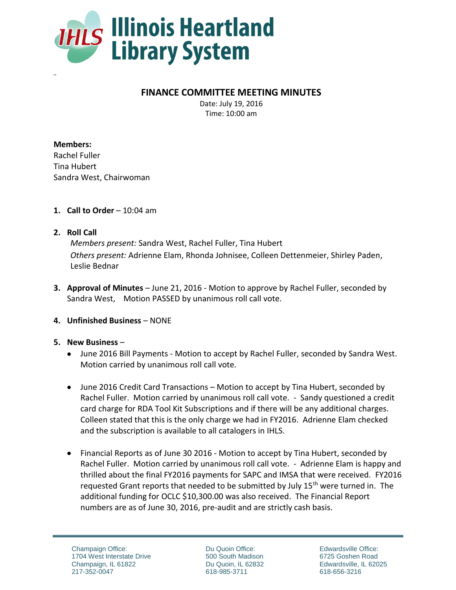

## **FINANCE COMMITTEE MEETING MINUTES**

Date: July 19, 2016 Time: 10:00 am

**Members:** Rachel Fuller Tina Hubert Sandra West, Chairwoman

- **1. Call to Order** 10:04 am
- **2. Roll Call**

10:

*Members present:* Sandra West, Rachel Fuller, Tina Hubert *Others present:* Adrienne Elam, Rhonda Johnisee, Colleen Dettenmeier, Shirley Paden, Leslie Bednar

**3. Approval of Minutes** – June 21, 2016 - Motion to approve by Rachel Fuller, seconded by Sandra West, Motion PASSED by unanimous roll call vote.

## **4. Unfinished Business** – NONE

## **5. New Business** –

- June 2016 Bill Payments Motion to accept by Rachel Fuller, seconded by Sandra West. Motion carried by unanimous roll call vote.
- June 2016 Credit Card Transactions Motion to accept by Tina Hubert, seconded by Rachel Fuller. Motion carried by unanimous roll call vote. - Sandy questioned a credit card charge for RDA Tool Kit Subscriptions and if there will be any additional charges. Colleen stated that this is the only charge we had in FY2016. Adrienne Elam checked and the subscription is available to all catalogers in IHLS.
- Financial Reports as of June 30 2016 Motion to accept by Tina Hubert, seconded by Rachel Fuller. Motion carried by unanimous roll call vote. - Adrienne Elam is happy and thrilled about the final FY2016 payments for SAPC and IMSA that were received. FY2016 requested Grant reports that needed to be submitted by July 15<sup>th</sup> were turned in. The additional funding for OCLC \$10,300.00 was also received. The Financial Report numbers are as of June 30, 2016, pre-audit and are strictly cash basis.

Du Quoin Office: 500 South Madison Du Quoin, IL 62832 618-985-3711

Edwardsville Office: 6725 Goshen Road Edwardsville, IL 62025 618-656-3216